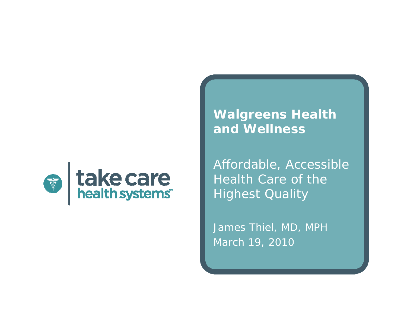

**Walgreens Health and Wellness**

Affordable, Accessible Health Care of the Highest Quality

James Thiel, MD, MPH March 19, 2010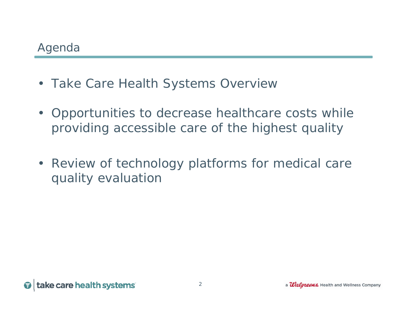- Take Care Health Systems Overview
- Opportunities to decrease healthcare costs while providing accessible care of the highest quality
- Review of technology platforms for medical care quality evaluation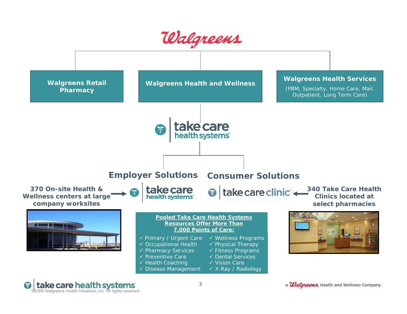

#### take care health systems ©2009 Walgreens Health Initiatives, Inc. All rights reserved.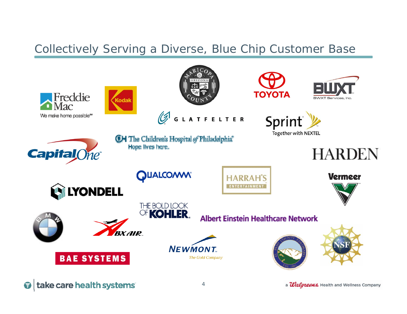### Collectively Serving a Diverse, Blue Chip Customer Base

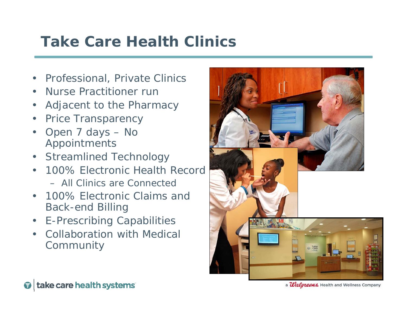# **Take Care Health Clinics**

- $\bullet$ Professional, Private Clinics
- •Nurse Practitioner run
- •Adjacent to the Pharmacy
- •Price Transparency
- • Open 7 days – No Appointments
- •Streamlined Technology
- • 100% Electronic Health Record– All Clinics are Connected
- • 100% Electronic Claims and Back-end Billing
- •E-Prescribing Capabilities
- • Collaboration with Medical Community





a *Walgreems* Health and Wellness Company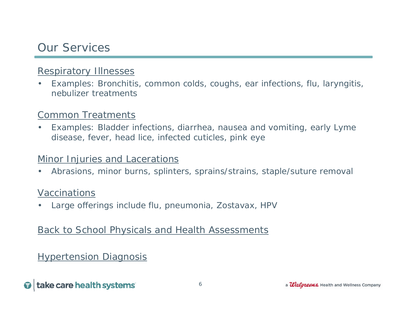### Our Services

#### Respiratory Illnesses

• Examples: Bronchitis, common colds, coughs, ear infections, flu, laryngitis, nebulizer treatments

#### Common Treatments

 $\bullet$  Examples: Bladder infections, diarrhea, nausea and vomiting, early Lyme disease, fever, head lice, infected cuticles, pink eye

#### **Minor Injuries and Lacerations**

•Abrasions, minor burns, splinters, sprains/strains, staple/suture removal

#### Vaccinations

•Large offerings include flu, pneumonia, Zostavax, HPV

#### Back to School Physicals and Health Assessments

### **Hypertension Diagnosis**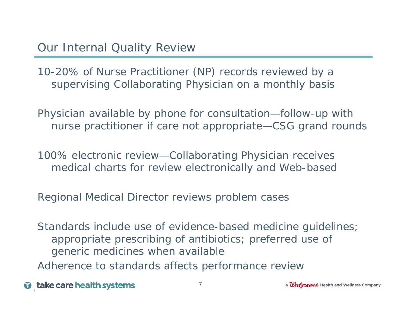### Our Internal Quality Review

10-20% of Nurse Practitioner (NP) records reviewed by a supervising Collaborating Physician on a monthly basis

Physician available by phone for consultation—follow-up with nurse practitioner if care not appropriate—CSG grand rounds

100% electronic review—Collaborating Physician receives medical charts for review electronically and Web-based

Regional Medical Director reviews problem cases

Standards include use of evidence-based medicine guidelines; appropriate prescribing of antibiotics; preferred use of generic medicines when available Adherence to standards affects performance review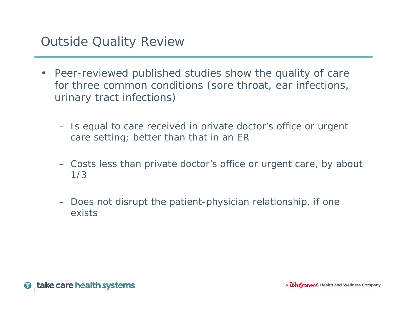## Outside Quality Review

- Peer-reviewed published studies show the quality of care for three common conditions (sore throat, ear infections, urinary tract infections)
	- Is equal to care received in private doctor's office or urgent care setting; better than that in an ER
	- Costs less than private doctor's office or urgent care, by about 1/3
	- Does not disrupt the patient-physician relationship, if one exists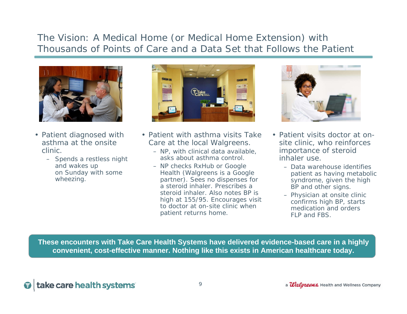#### The Vision: A Medical Home (or Medical Home Extension) with Thousands of Points of Care and a Data Set that Follows the Patient



- Patient diagnosed with asthma at the onsite clinic.
	- Spends a restless night and wakes up on Sunday with some wheezing.



- Patient with asthma visits Take Care at the local Walgreens.
	- NP, with clinical data available, asks about asthma control.
	- NP checks RxHub or Google Health (Walgreens is a Google partner). Sees no dispenses for a steroid inhaler. Prescribes a steroid inhaler. Also notes BP is high at 155/95. Encourages visit to doctor at on-site clinic when patient returns home.



- Patient visits doctor at onsite clinic, who reinforces importance of steroid inhaler use.
	- Data warehouse identifies patient as having metabolic syndrome, given the high BP and other signs.
	- Physician at onsite clinic confirms high BP, starts medication and orders FLP and FBS.

**These encounters with Take Care Health Systems have delivered evidence-based care in a highly convenient, cost-effective manner. Nothing like this exists in American healthcare today.**